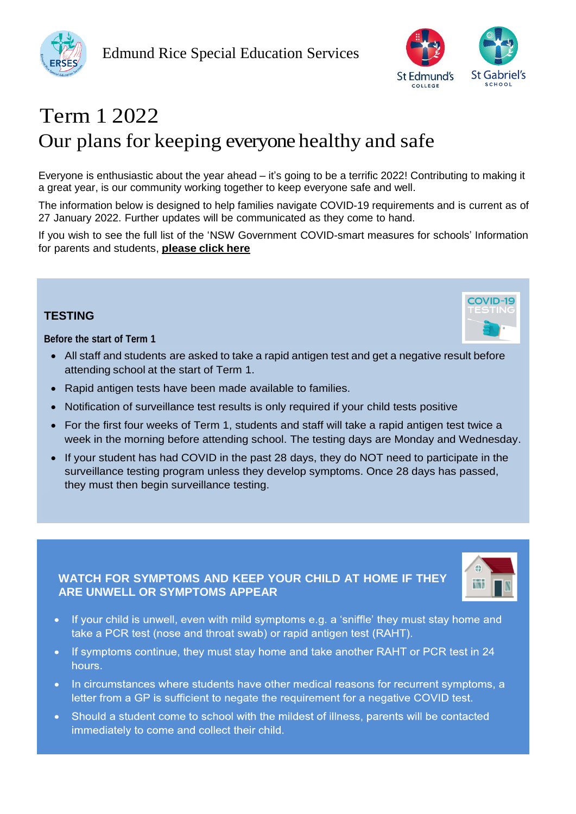



# Term 1 2022 Our plans for keeping everyone healthy and safe

Everyone is enthusiastic about the year ahead – it's going to be a terrific 2022! Contributing to making it a great year, is our community working together to keep everyone safe and well.

The information below is designed to help families navigate COVID-19 requirements and is current as of 27 January 2022. Further updates will be communicated as they come to hand.

If you wish to see the full list of the 'NSW Government COVID-smart measures for schools' Information for parents and students, **[please](https://www.nsw.gov.au/covid-19/stay-safe/advice-for-parents-students?utm_source=servicensw_consumer&utm_medium=email&utm_campaign=2022-01-21_sfmc_647_con_covid_newsletter&utm_content=01_covid-smart_measures&utm_term=see_all_covid-smart_measures_button&toc-term-1-2022-covid-smart-measures-for-schools) click here**

## **TESTING**

**Before the start of Term 1**



- All staff and students are asked to take a rapid antigen test and get a negative result before attending school at the start of Term 1.
- Rapid antigen tests have been made available to families.
- Notification of surveillance test results is only required if your child tests positive
- For the first four weeks of Term 1, students and staff will take a rapid antigen test twice a week in the morning before attending school. The testing days are Monday and Wednesday.
- If your student has had COVID in the past 28 days, they do NOT need to participate in the surveillance testing program unless they develop symptoms. Once 28 days has passed, they must then begin surveillance testing.

**WATCH FOR SYMPTOMS AND KEEP YOUR CHILD AT HOME IF THEY ARE UNWELL OR SYMPTOMS APPEAR**



- If your child is unwell, even with mild symptoms e.g. a 'sniffle' they must stay home and take a PCR test (nose and throat swab) or rapid antigen test (RAHT).
- If symptoms continue, they must stay home and take another RAHT or PCR test in 24  $\bullet$ hours.
- In circumstances where students have other medical reasons for recurrent symptoms, a letter from a GP is sufficient to negate the requirement for a negative COVID test.
- Should a student come to school with the mildest of illness, parents will be contacted immediately to come and collect their child.